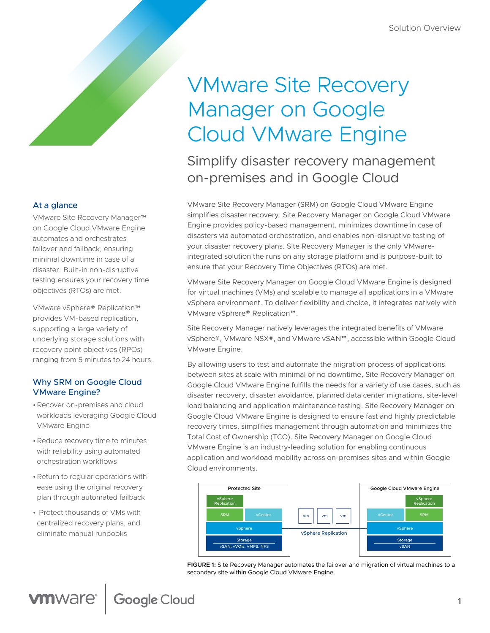# VMware Site Recovery Manager on Google Cloud VMware Engine

Simplify disaster recovery management on-premises and in Google Cloud

VMware Site Recovery Manager (SRM) on Google Cloud VMware Engine simplifies disaster recovery. Site Recovery Manager on Google Cloud VMware Engine provides policy-based management, minimizes downtime in case of disasters via automated orchestration, and enables non-disruptive testing of your disaster recovery plans. Site Recovery Manager is the only VMwareintegrated solution the runs on any storage platform and is purpose-built to ensure that your Recovery Time Objectives (RTOs) are met.

VMware Site Recovery Manager on Google Cloud VMware Engine is designed for virtual machines (VMs) and scalable to manage all applications in a VMware vSphere environment. To deliver flexibility and choice, it integrates natively with VMware vSphere® Replication™.

Site Recovery Manager natively leverages the integrated benefits of VMware vSphere®, VMware NSX®, and VMware vSAN™, accessible within Google Cloud VMware Engine.

By allowing users to test and automate the migration process of applications between sites at scale with minimal or no downtime, Site Recovery Manager on Google Cloud VMware Engine fulfills the needs for a variety of use cases, such as disaster recovery, disaster avoidance, planned data center migrations, site-level load balancing and application maintenance testing. Site Recovery Manager on Google Cloud VMware Engine is designed to ensure fast and highly predictable recovery times, simplifies management through automation and minimizes the Total Cost of Ownership (TCO). Site Recovery Manager on Google Cloud VMware Engine is an industry-leading solution for enabling continuous application and workload mobility across on-premises sites and within Google Cloud environments.



**FIGURE 1:** Site Recovery Manager automates the failover and migration of virtual machines to a secondary site within Google Cloud VMware Engine.

## At a glance

VMware Site Recovery Manager™ on Google Cloud VMware Engine automates and orchestrates failover and failback, ensuring minimal downtime in case of a disaster. Built-in non-disruptive testing ensures your recovery time objectives (RTOs) are met.

VMware vSphere® Replication™ provides VM-based replication, supporting a large variety of underlying storage solutions with recovery point objectives (RPOs) ranging from 5 minutes to 24 hours.

## Why SRM on Google Cloud VMware Engine?

- •Recover on-premises and cloud workloads leveraging Google Cloud VMware Engine
- •Reduce recovery time to minutes with reliability using automated orchestration workflows
- •Return to regular operations with ease using the original recovery plan through automated failback
- Protect thousands of VMs with centralized recovery plans, and eliminate manual runbooks